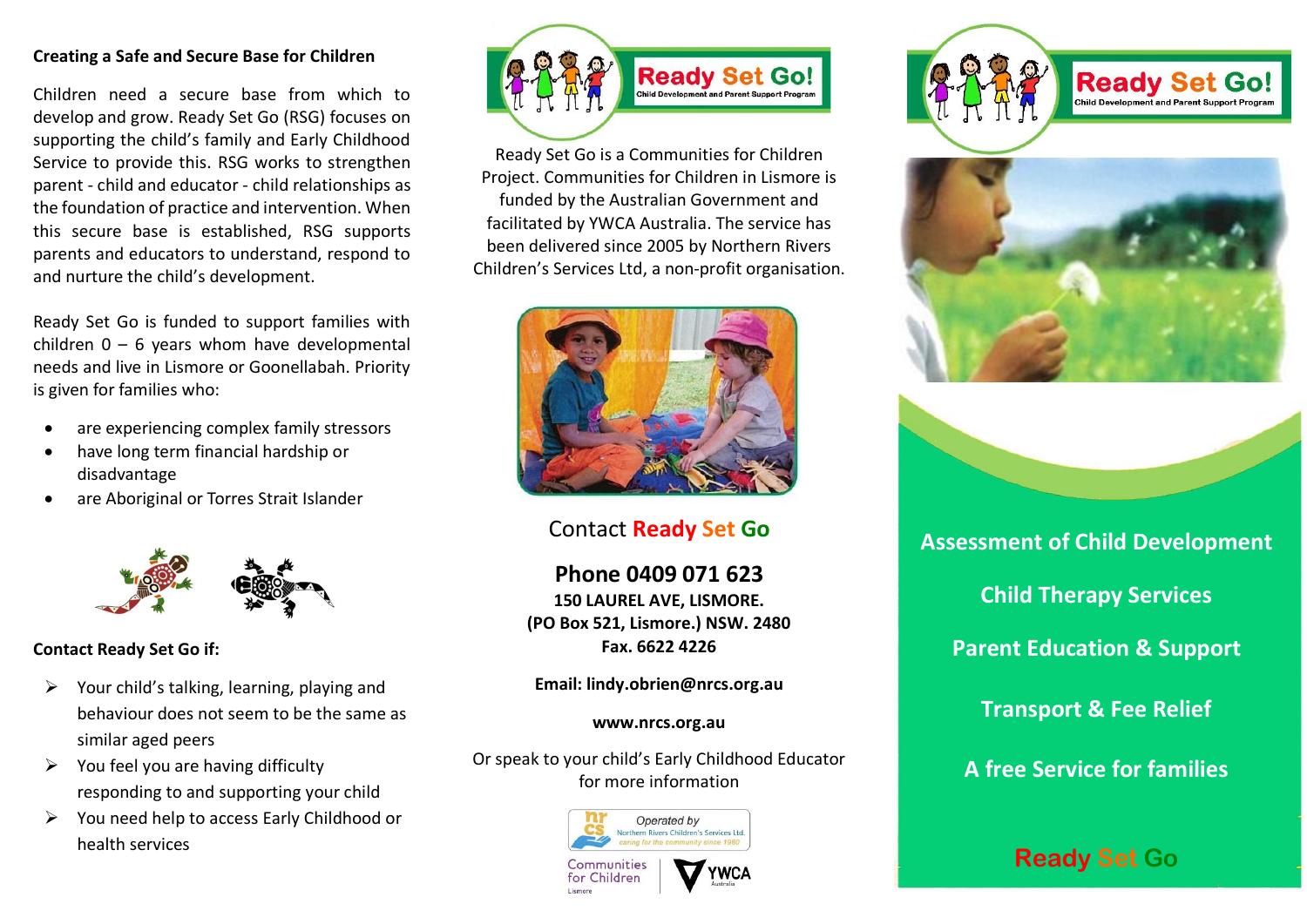#### **Creating a Safe and Secure Base for Children**

Children need a secure base from which to develop and grow. Ready Set Go (RSG) focuses on supporting the child's family and Early Childhood Service to provide this. RSG works to strengthen parent - child and educator - child relationships as the foundation of practice and intervention. When this secure base is established, RSG supports parents and educators to understand, respond to and nurture the child's development.

Ready Set Go is funded to support families with children  $0 - 6$  years whom have developmental needs and live in Lismore or Goonellabah. Priority is given for families who:

- are experiencing complex family stressors
- have long term financial hardship or disadvantage
- are Aboriginal or Torres Strait Islander



# **Contact Ready Set Go if:**

- $\triangleright$  Your child's talking, learning, playing and behaviour does not seem to be the same as similar aged peers
- $\triangleright$  You feel you are having difficulty responding to and supporting your child
- ➢ You need help to access Early Childhood or health services



Ready Set Go is a Communities for Children Project. Communities for Children in Lismore is funded by the Australian Government and facilitated by YWCA Australia. The service has been delivered since 2005 by Northern Rivers Children's Services Ltd, a non-profit organisation.



# Contact **Ready Set Go**

**Phone 0409 071 623 150 LAUREL AVE, LISMORE. (PO Box 521, Lismore.) NSW. 2480 Fax. 6622 4226**

**Email: lindy.obrien@nrcs.org.au**

#### **www.nrcs.org.au**

Or speak to your child's Early Childhood Educator for more information













**Assessment of Child Development Child Therapy Services Parent Education & Support Transport & Fee Relief A free Service for families**